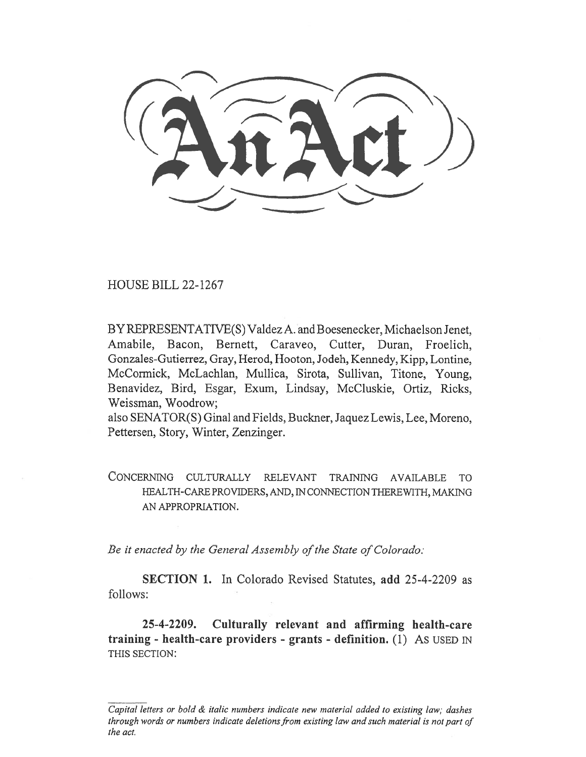HOUSE BILL 22-1267

BY REPRESENTATIVE(S) Valdez A. and Boesenecker, Michaelson Jenet, Amabile, Bacon, Bernett, Caraveo, Cutter, Duran, Froelich, Gonzales-Gutierrez, Gray, Herod, Hooton, Jodeh, Kennedy, Kipp, Lontine, McCormick, McLachlan, Mullica, Sirota, Sullivan, Titone, Young, Benavidez, Bird, Esgar, Exum, Lindsay, McCluskie, Ortiz, Ricks, Weissman, Woodrow;

also SENATOR(S) Ginal and Fields, Buckner, Jaquez Lewis, Lee, Moreno, Pettersen, Story, Winter, Zenzinger.

CONCERNING CULTURALLY RELEVANT TRAINING AVAILABLE TO HEALTH-CARE PROVIDERS, AND, IN CONNECTION THEREWITH, MAKING AN APPROPRIATION.

Be it enacted by the General Assembly of the State of Colorado:

SECTION 1. In Colorado Revised Statutes, add 25-4-2209 as follows:

25-4-2209. Culturally relevant and affirming health-care training - health-care providers - grants - definition. (1) As USED IN THIS SECTION:

Capital letters or bold & italic numbers indicate new material added to existing law; dashes through words or numbers indicate deletions from existing law and such material is not part of the act.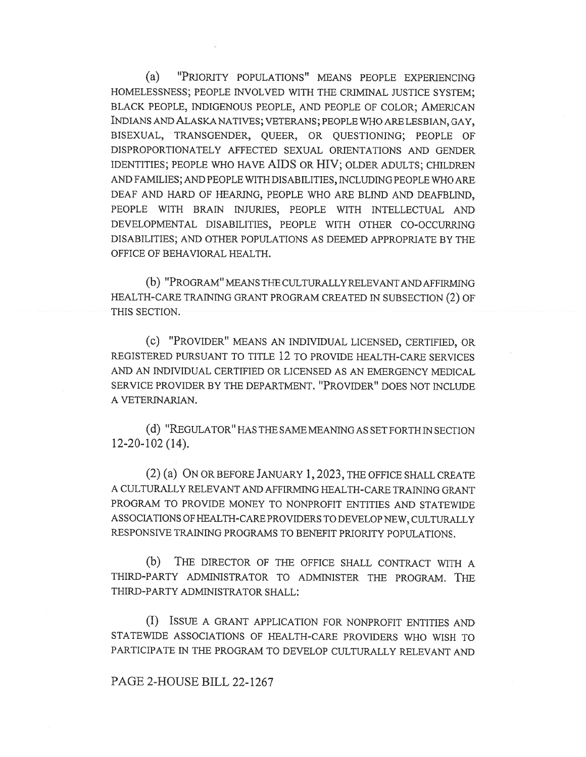(a) "PRIORITY POPULATIONS" MEANS PEOPLE EXPERIENCING HOMELESSNESS; PEOPLE INVOLVED WITH THE CRIMINAL JUSTICE SYSTEM; BLACK PEOPLE, INDIGENOUS PEOPLE, AND PEOPLE OF COLOR; AMERICAN INDIANS AND ALASKA NATIVES; VETERANS; PEOPLE WHO ARE LESBIAN, GAY, BISEXUAL, TRANSGENDER, QUEER, OR QUESTIONING; PEOPLE OF DISPROPORTIONATELY AFFECTED SEXUAL ORIENTATIONS AND GENDER IDENTITIES; PEOPLE WHO HAVE AIDS OR HIV; OLDER ADULTS; CHILDREN AND FAMILIES; AND PEOPLE WITH DISABILITIES, INCLUDING PEOPLE WHO ARE DEAF AND HARD OF HEARING, PEOPLE WHO ARE BLIND AND DEAFBLIND, PEOPLE WITH BRAIN INJURIES, PEOPLE WITH INTELLECTUAL AND DEVELOPMENTAL DISABILITIES, PEOPLE WITH OTHER CO-OCCURRING DISABILITIES; AND OTHER POPULATIONS AS DEEMED APPROPRIATE BY THE OFFICE OF BEHAVIORAL HEALTH.

(b) "PROGRAM" MEANS THE CULTURALLY RELEVANT AND AFFIRMING HEALTH-CARE TRAINING GRANT PROGRAM CREATED IN SUBSECTION (2) OF THIS SECTION.

(c) "PROVIDER" MEANS AN INDIVIDUAL LICENSED, CERTIFIED, OR REGISTERED PURSUANT TO TITLE 12 TO PROVIDE HEALTH-CARE SERVICES AND AN INDIVIDUAL CERTIFIED OR LICENSED AS AN EMERGENCY MEDICAL SERVICE PROVIDER BY THE DEPARTMENT. "PROVIDER" DOES NOT INCLUDE A VETERINARIAN.

(d) "REGULATOR" HAS THE SAME MEANING AS SET FORTH IN SECTION 12-20-102 (14).

(2) (a) ON OR BEFORE JANUARY 1, 2023, THE OFFICE SHALL CREATE A CULTURALLY RELEVANT AND AFFIRMING HEALTH-CARE TRAINING GRANT PROGRAM TO PROVIDE MONEY TO NONPROFIT ENTITIES AND STATEWIDE ASSOCIATIONS OF HEALTH-CARE PROVIDERS TO DEVELOP NEW, CULTURALLY RESPONSIVE TRAINING PROGRAMS TO BENEFIT PRIORITY POPULATIONS.

(b) THE DIRECTOR OF THE OFFICE SHALL CONTRACT WITH A THIRD-PARTY ADMINISTRATOR TO ADMINISTER THE PROGRAM. THE THIRD-PARTY ADMINISTRATOR SHALL:

(I) ISSUE A GRANT APPLICATION FOR NONPROFIT ENTITIES AND STATEWIDE ASSOCIATIONS OF HEALTH-CARE PROVIDERS WHO WISH TO PARTICIPATE IN THE PROGRAM TO DEVELOP CULTURALLY RELEVANT AND

## PAGE 2-HOUSE BILL 22-1267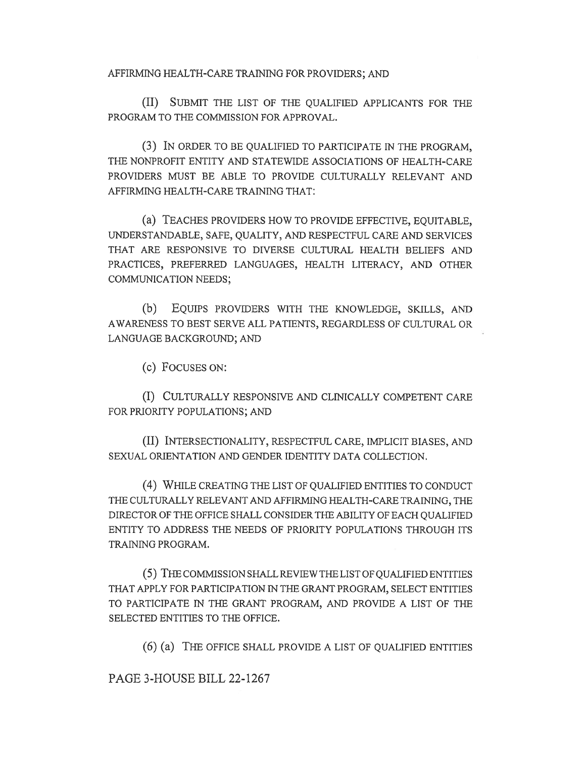AFFIRMING HEALTH-CARE TRAINING FOR PROVIDERS; AND

(II) SUBMIT THE LIST OF THE QUALIFIED APPLICANTS FOR THE PROGRAM TO THE COMMISSION FOR APPROVAL.

(3) IN ORDER TO BE QUALIFIED TO PARTICIPATE IN THE PROGRAM, THE NONPROFIT ENTITY AND STATEWIDE ASSOCIATIONS OF HEALTH-CARE PROVIDERS MUST BE ABLE TO PROVIDE CULTURALLY RELEVANT AND AFFIRMING HEALTH-CARE TRAINING THAT:

(a) TEACHES PROVIDERS HOW TO PROVIDE EFFECTIVE, EQUITABLE, UNDERSTANDABLE, SAFE, QUALITY, AND RESPECTFUL CARE AND SERVICES THAT ARE RESPONSIVE TO DIVERSE CULTURAL HEALTH BELIEFS AND PRACTICES, PREFERRED LANGUAGES, HEALTH LITERACY, AND OTHER COMMUNICATION NEEDS;

(b) EQUIPS PROVIDERS WITH THE KNOWLEDGE, SKILLS, AND AWARENESS TO BEST SERVE ALL PATIENTS, REGARDLESS OF CULTURAL OR LANGUAGE BACKGROUND; AND

(c) FOCUSES ON:

(I) CULTURALLY RESPONSIVE AND CLINICALLY COMPETENT CARE FOR PRIORITY POPULATIONS; AND

(II) INTERSECTIONALITY, RESPECTFUL CARE, IMPLICIT BIASES, AND SEXUAL ORIENTATION AND GENDER IDENTITY DATA COLLECTION.

(4) WHILE CREATING THE LIST OF QUALIFIED ENTITIES TO CONDUCT THE CULTURALLY RELEVANT AND AFFIRMING HEALTH-CARE TRAINING, THE DIRECTOR OF THE OFFICE SHALL CONSIDER THE ABILITY OF EACH QUALIFIED ENTITY TO ADDRESS THE NEEDS OF PRIORITY POPULATIONS THROUGH ITS TRAINING PROGRAM.

(5) THE COMMISSION SHALL REVIEW THE LIST OF QUALIFIED ENTITIES THAT APPLY FOR PARTICIPATION IN THE GRANT PROGRAM, SELECT ENTITIES TO PARTICIPATE IN THE GRANT PROGRAM, AND PROVIDE A LIST OF THE SELECTED ENTITIES TO THE OFFICE.

(6) (a) THE OFFICE SHALL PROVIDE A LIST OF QUALIFIED ENTITIES

PAGE 3-HOUSE BILL 22-1267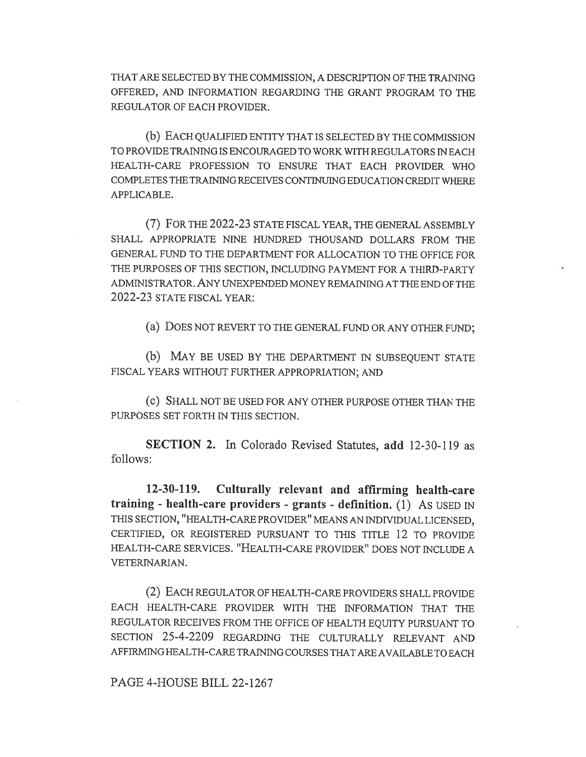THAT ARE SELECTED BY THE COMMISSION, A DESCRIPTION OF THE TRAINING OFFERED, AND INFORMATION REGARDING THE GRANT PROGRAM TO THE REGULATOR OF EACH PROVIDER.

(b) EACH QUALIFIED ENTITY THAT IS SELECTED BY THE COMMISSION TO PROVIDE TRAINING IS ENCOURAGED TO WORK WITH REGULATORS IN EACH HEALTH-CARE PROFESSION TO ENSURE THAT EACH PROVIDER WHO COMPLETES THE TRAINING RECEIVES CONTINUING EDUCATION CREDIT WHERE APPLICABLE.

(7) FOR THE 2022-23 STATE FISCAL YEAR, THE GENERAL ASSEMBLY SHALL APPROPRIATE NINE HUNDRED THOUSAND DOLLARS FROM THE GENERAL FUND TO THE DEPARTMENT FOR ALLOCATION TO THE OFFICE FOR THE PURPOSES OF THIS SECTION, INCLUDING PAYMENT FOR A THIRD-PARTY ADMINISTRATOR. ANY UNEXPENDED MONEY REMAINING AT THE END OF THE 2022-23 STATE FISCAL YEAR:

(a) DOES NOT REVERT TO THE GENERAL FUND OR ANY OTHER FUND;

(b) MAY BE USED BY THE DEPARTMENT IN SUBSEQUENT STATE FISCAL YEARS WITHOUT FURTHER APPROPRIATION; AND

(c) SHALL NOT BE USED FOR ANY OTHER PURPOSE OTHER THAN THE PURPOSES SET FORTH IN THIS SECTION.

SECTION 2. In Colorado Revised Statutes, add 12-30-119 as follows:

12-30419. Culturally relevant and affirming health-care training - health-care providers - grants - definition. (1) AS USED IN THIS SECTION, "HEALTH-CARE PROVIDER" MEANS AN INDIVIDUAL LICENSED, CERTIFIED, OR REGISTERED PURSUANT TO THIS TITLE 12 TO PROVIDE HEALTH-CARE SERVICES. "HEALTH-CARE PROVIDER" DOES NOT INCLUDE A VETERINARIAN.

(2) EACH REGULATOR OF HEALTH-CARE PROVIDERS SHALL PROVIDE EACH HEALTH-CARE PROVIDER WITH THE INFORMATION THAT THE REGULATOR RECEIVES FROM THE OFFICE OF HEALTH EQUITY PURSUANT TO SECTION 25-4-2209 REGARDING THE CULTURALLY RELEVANT AND AFFIRMING HEALTH-CARE TRAINING COURSES THAT ARE AVAILABLE TO EACH

PAGE 4-HOUSE BILL 22-1267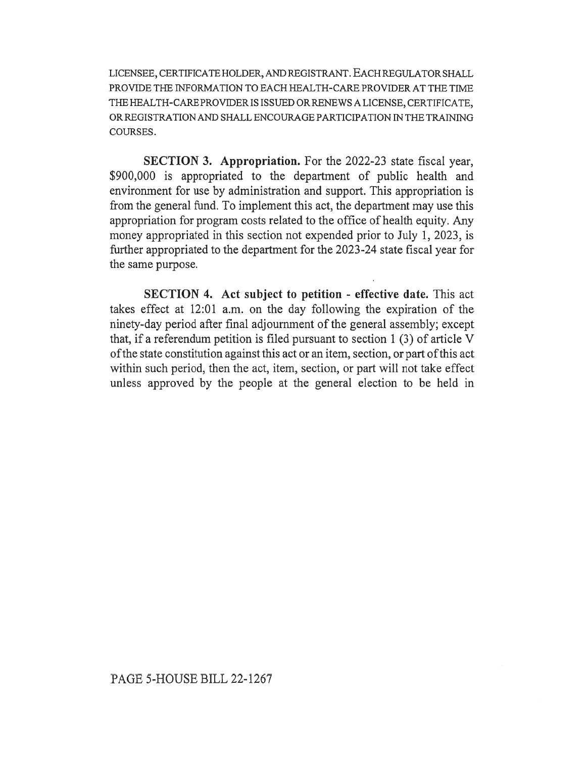LICENSEE, CERTIFICATE HOLDER, AND REGISTRANT. EACH REGULATOR SHALL PROVIDE THE INFORMATION TO EACH HEALTH-CARE PROVIDER AT THE TIME THE HEALTH-CARE PROVIDER IS ISSUED OR RENEWS A LICENSE, CERTIFICATE, OR REGISTRATION AND SHALL ENCOURAGE PARTICIPATION IN THE TRAINING COURSES.

SECTION 3. Appropriation. For the 2022-23 state fiscal year, \$900,000 is appropriated to the department of public health and environment for use by administration and support. This appropriation is from the general fund. To implement this act, the department may use this appropriation for program costs related to the office of health equity. Any money appropriated in this section not expended prior to July 1, 2023, is further appropriated to the department for the 2023-24 state fiscal year for the same purpose.

SECTION 4. Act subject to petition - effective date. This act takes effect at 12:01 a.m. on the day following the expiration of the ninety-day period after final adjournment of the general assembly; except that, if a referendum petition is filed pursuant to section 1 (3) of article V of the state constitution against this act or an item, section, or part of this act within such period, then the act, item, section, or part will not take effect unless approved by the people at the general election to be held in